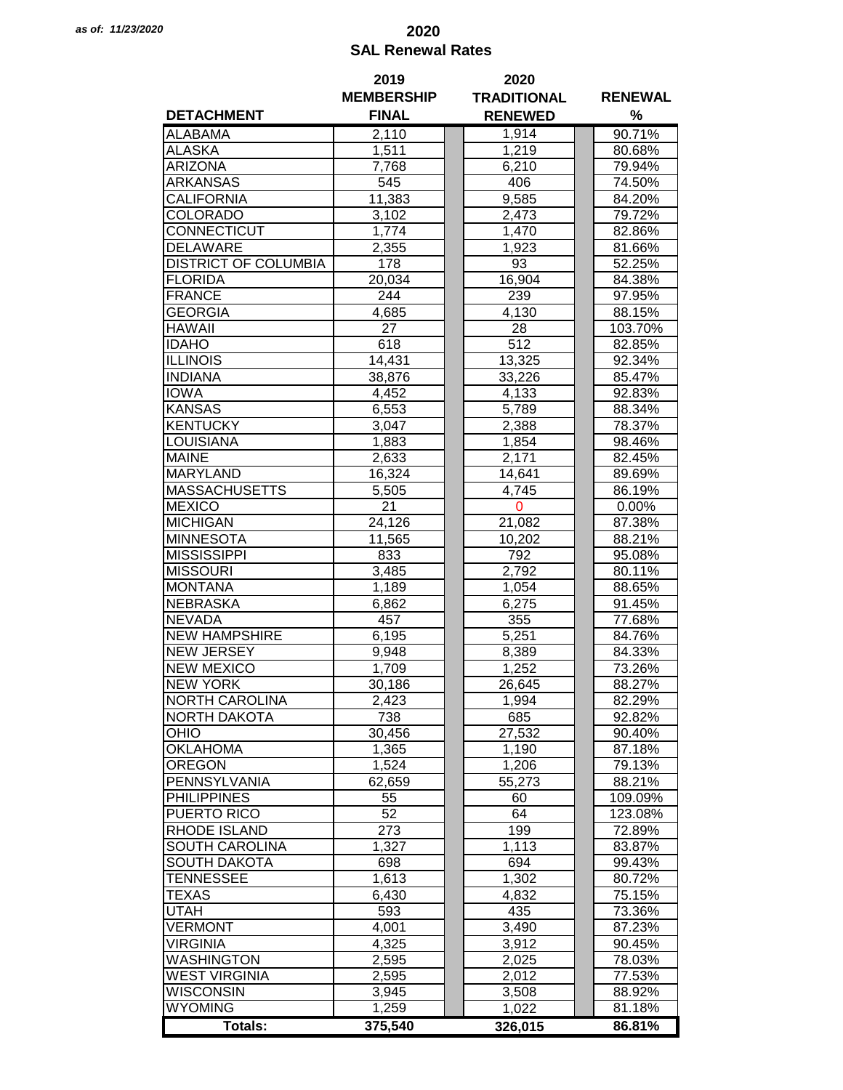## *as of: 11/23/2020* **2020 SAL Renewal Rates**

|                             | 2019              | 2020               |                |
|-----------------------------|-------------------|--------------------|----------------|
|                             | <b>MEMBERSHIP</b> | <b>TRADITIONAL</b> | <b>RENEWAL</b> |
| <b>DETACHMENT</b>           | <b>FINAL</b>      | <b>RENEWED</b>     | %              |
| <b>ALABAMA</b>              | 2,110             | 1,914              | 90.71%         |
| <b>ALASKA</b>               | 1,511             | 1,219              | 80.68%         |
| <b>ARIZONA</b>              | 7,768             | 6,210              | 79.94%         |
| ARKANSAS                    | 545               | 406                | 74.50%         |
| CALIFORNIA                  | 11,383            | 9,585              | 84.20%         |
| COLORADO                    | 3,102             | 2,473              | 79.72%         |
| CONNECTICUT                 | 1,774             | 1,470              | 82.86%         |
| <b>DELAWARE</b>             | 2,355             | 1,923              | 81.66%         |
| <b>DISTRICT OF COLUMBIA</b> | 178               | 93                 | 52.25%         |
|                             |                   |                    |                |
| <b>FLORIDA</b>              | 20,034            | 16,904             | 84.38%         |
| <b>FRANCE</b>               | 244               | 239                | 97.95%         |
| <b>GEORGIA</b>              | 4,685             | 4,130              | 88.15%         |
| <b>HAWAII</b>               | 27                | 28                 | 103.70%        |
| <b>IDAHO</b>                | 618               | 512                | 82.85%         |
| <b>ILLINOIS</b>             | 14,431            | 13,325             | 92.34%         |
| <b>INDIANA</b>              | 38,876            | 33,226             | 85.47%         |
| <b>IOWA</b>                 | 4,452             | 4,133              | 92.83%         |
| <b>KANSAS</b>               | 6,553             | 5,789              | 88.34%         |
| <b>KENTUCKY</b>             | 3,047             | 2,388              | 78.37%         |
| <b>LOUISIANA</b>            | 1,883             | 1,854              | 98.46%         |
| <b>MAINE</b>                | 2,633             | 2,171              | 82.45%         |
| <b>MARYLAND</b>             | 16,324            | 14,641             | 89.69%         |
| <b>MASSACHUSETTS</b>        | 5,505             | 4,745              | 86.19%         |
| <b>MEXICO</b>               | 21                | $\mathbf 0$        | 0.00%          |
| <b>MICHIGAN</b>             | 24,126            | 21,082             | 87.38%         |
| <b>MINNESOTA</b>            | 11,565            | 10,202             | 88.21%         |
| <b>MISSISSIPPI</b>          | 833               | 792                | 95.08%         |
| <b>MISSOURI</b>             | 3,485             | 2,792              | 80.11%         |
| <b>MONTANA</b>              | 1,189             | 1,054              | 88.65%         |
| <b>NEBRASKA</b>             | 6,862             | 6,275              | 91.45%         |
| <b>NEVADA</b>               | 457               | 355                | 77.68%         |
| <b>NEW HAMPSHIRE</b>        | 6,195             | 5,251              | 84.76%         |
| <b>NEW JERSEY</b>           | 9,948             | 8,389              | 84.33%         |
| <b>NEW MEXICO</b>           | 1,709             | 1,252              | 73.26%         |
| <b>NEW YORK</b>             |                   |                    |                |
|                             | 30,186            | 26,645             | 88.27%         |
| <b>NORTH CAROLINA</b>       | 2,423             | 1,994              | 82.29%         |
| <b>NORTH DAKOTA</b>         | 738               | 685                | 92.82%         |
| OHIO                        | 30,456            | 27,532             | 90.40%         |
| <b>OKLAHOMA</b>             | 1,365             | 1,190              | 87.18%         |
| <b>OREGON</b>               | 1,524             | 1,206              | 79.13%         |
| PENNSYLVANIA                | 62,659            | 55,273             | 88.21%         |
| <b>PHILIPPINES</b>          | 55                | 60                 | 109.09%        |
| PUERTO RICO                 | 52                | 64                 | 123.08%        |
| <b>RHODE ISLAND</b>         | 273               | 199                | 72.89%         |
| SOUTH CAROLINA              | 1,327             | 1,113              | 83.87%         |
| <b>SOUTH DAKOTA</b>         | 698               | 694                | 99.43%         |
| <b>TENNESSEE</b>            | 1,613             | 1,302              | 80.72%         |
| <b>TEXAS</b>                | 6,430             | 4,832              | 75.15%         |
| <b>UTAH</b>                 | 593               | 435                | 73.36%         |
| <b>VERMONT</b>              | 4,001             | 3,490              | 87.23%         |
| <b>VIRGINIA</b>             | 4,325             | 3,912              | 90.45%         |
| <b>WASHINGTON</b>           | 2,595             | 2,025              | 78.03%         |
| <b>WEST VIRGINIA</b>        | 2,595             | 2,012              | 77.53%         |
| <b>WISCONSIN</b>            | 3,945             | 3,508              | 88.92%         |
| <b>WYOMING</b>              | 1,259             | 1,022              | 81.18%         |
| <b>Totals:</b>              | 375,540           | 326,015            | 86.81%         |
|                             |                   |                    |                |